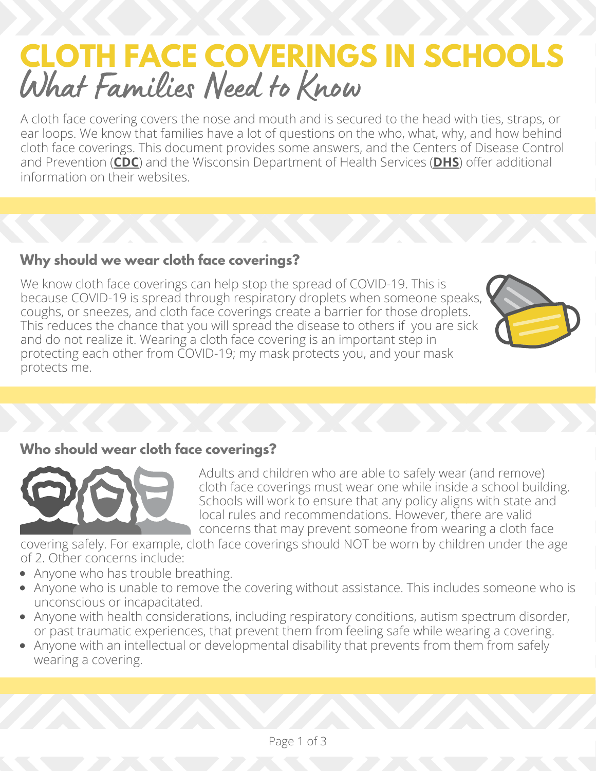# **CLOTH FACE COVERINGS IN SCHOOLS** What Families Need to Know

A cloth face covering covers the nose and mouth and is secured to the head with ties, straps, or ear loops. We know that families have a lot of questions on the who, what, why, and how behind cloth face coverings. This document provides some answers, and the Centers of Disease Control and Prevention (**[CDC](https://www.cdc.gov/coronavirus/2019-ncov/prevent-getting-sick/diy-cloth-face-coverings.html)**) and the Wisconsin Department of Health Services (**[DHS](https://www.dhs.wisconsin.gov/covid-19/protect.htm)**) offer additional information on their websites.

# **Why should we wear cloth face coverings?**

We know cloth face coverings can help stop the spread of COVID-19. This is because COVID-19 is spread through respiratory droplets when someone speaks, coughs, or sneezes, and cloth face coverings create a barrier for those droplets. This reduces the chance that you will spread the disease to others if you are sick and do not realize it. Wearing a cloth face covering is an important step in protecting each other from COVID-19; my mask protects you, and your mask protects me.



#### **Who should wear cloth face coverings?**



Adults and children who are able to safely wear (and remove) cloth face coverings must wear one while inside a school building. Schools will work to ensure that any policy aligns with state and local rules and recommendations. However, there are valid concerns that may prevent someone from wearing a cloth face

covering safely. For example, cloth face coverings should NOT be worn by children under the age of 2. Other concerns include:

- Anyone who has trouble breathing.
- Anyone who is unable to remove the covering without assistance. This includes someone who is unconscious or incapacitated.
- Anyone with health considerations, including respiratory conditions, autism spectrum disorder, or past traumatic experiences, that prevent them from feeling safe while wearing a covering.
- Anyone with an intellectual or developmental disability that prevents from them from safely wearing a covering.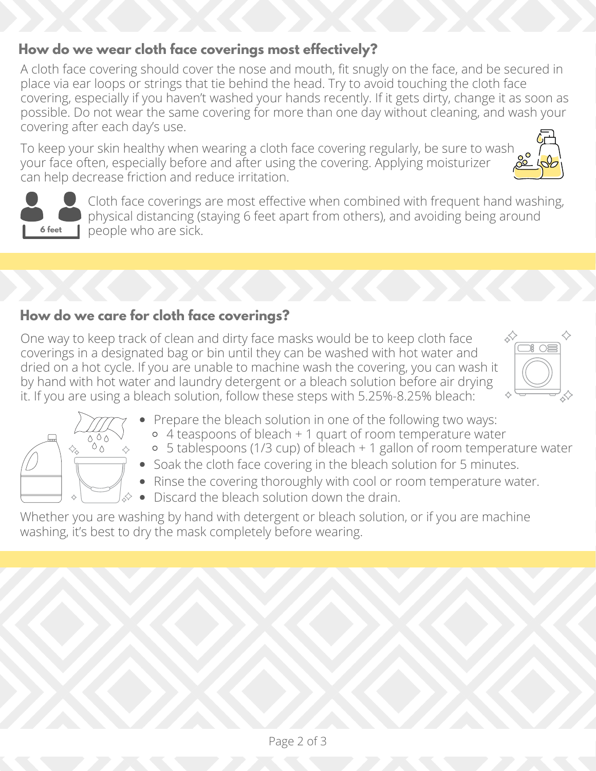# **How do we wear cloth face coverings most effectively?**

A cloth face covering should cover the nose and mouth, fit snugly on the face, and be secured in place via ear loops or strings that tie behind the head. Try to avoid touching the cloth face covering, especially if you haven't washed your hands recently. If it gets dirty, change it as soon as possible. Do not wear the same covering for more than one day without cleaning, and wash your covering after each day's use.

To keep your skin healthy when wearing a cloth face covering regularly, be sure to wash your face often, especially before and after using the covering. Applying moisturizer can help decrease friction and reduce irritation.





Cloth face coverings are most effective when combined with frequent hand washing, physical distancing (staying 6 feet apart from others), and avoiding being around people who are sick.

# **How do we care for cloth face coverings?**

One way to keep track of clean and dirty face masks would be to keep cloth face coverings in a designated bag or bin until they can be washed with hot water and dried on a hot cycle. If you are unable to machine wash the covering, you can wash it by hand with hot water and laundry detergent or a bleach solution before air drying it. If you are using a bleach solution, follow these steps with 5.25%-8.25% bleach:





- Prepare the bleach solution in one of the following two ways:
	- 4 teaspoons of bleach + 1 quart of room temperature water
- 5 tablespoons (1/3 cup) of bleach + 1 gallon of room temperature water
- Soak the cloth face covering in the bleach solution for 5 minutes.
- Rinse the covering thoroughly with cool or room temperature water.
- Discard the bleach solution down the drain.

Whether you are washing by hand with detergent or bleach solution, or if you are machine washing, it's best to dry the mask completely before wearing.